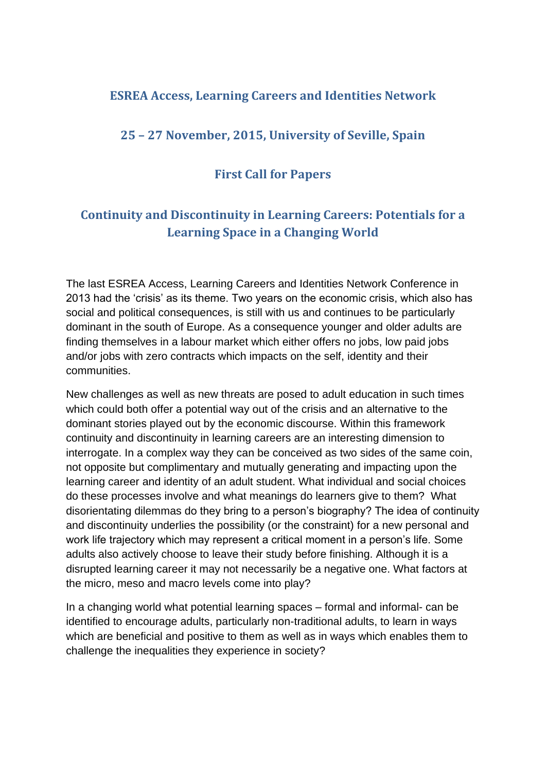# **ESREA Access, Learning Careers and Identities Network**

# **25 – 27 November, 2015, University of Seville, Spain**

# **First Call for Papers**

# **Continuity and Discontinuity in Learning Careers: Potentials for a Learning Space in a Changing World**

The last ESREA Access, Learning Careers and Identities Network Conference in 2013 had the 'crisis' as its theme. Two years on the economic crisis, which also has social and political consequences, is still with us and continues to be particularly dominant in the south of Europe. As a consequence younger and older adults are finding themselves in a labour market which either offers no jobs, low paid jobs and/or jobs with zero contracts which impacts on the self, identity and their communities.

New challenges as well as new threats are posed to adult education in such times which could both offer a potential way out of the crisis and an alternative to the dominant stories played out by the economic discourse. Within this framework continuity and discontinuity in learning careers are an interesting dimension to interrogate. In a complex way they can be conceived as two sides of the same coin, not opposite but complimentary and mutually generating and impacting upon the learning career and identity of an adult student. What individual and social choices do these processes involve and what meanings do learners give to them? What disorientating dilemmas do they bring to a person's biography? The idea of continuity and discontinuity underlies the possibility (or the constraint) for a new personal and work life trajectory which may represent a critical moment in a person's life. Some adults also actively choose to leave their study before finishing. Although it is a disrupted learning career it may not necessarily be a negative one. What factors at the micro, meso and macro levels come into play?

In a changing world what potential learning spaces – formal and informal- can be identified to encourage adults, particularly non-traditional adults, to learn in ways which are beneficial and positive to them as well as in ways which enables them to challenge the inequalities they experience in society?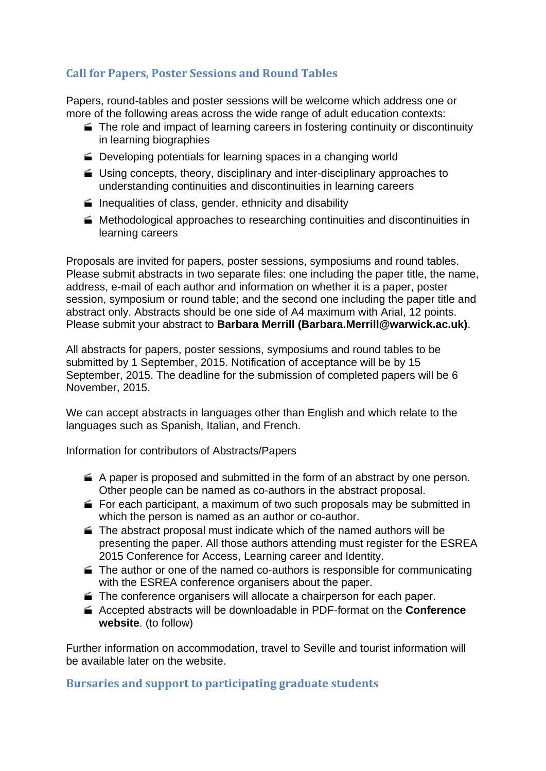### **Call for Papers, Poster Sessions and Round Tables**

Papers, round-tables and poster sessions will be welcome which address one or more of the following areas across the wide range of adult education contexts:

- The role and impact of learning careers in fostering continuity or discontinuity in learning biographies
- Developing potentials for learning spaces in a changing world
- Using concepts, theory, disciplinary and inter-disciplinary approaches to understanding continuities and discontinuities in learning careers
- $\blacksquare$  Inequalities of class, gender, ethnicity and disability
- Methodological approaches to researching continuities and discontinuities in learning careers

Proposals are invited for papers, poster sessions, symposiums and round tables. Please submit abstracts in two separate files: one including the paper title, the name, address, e-mail of each author and information on whether it is a paper, poster session, symposium or round table; and the second one including the paper title and abstract only. Abstracts should be one side of A4 maximum with Arial, 12 points. Please submit your abstract to **Barbara Merrill (Barbara.Merrill@warwick.ac.uk)**.

All abstracts for papers, poster sessions, symposiums and round tables to be submitted by 1 September, 2015. Notification of acceptance will be by 15 September, 2015. The deadline for the submission of completed papers will be 6 November, 2015.

We can accept abstracts in languages other than English and which relate to the languages such as Spanish, Italian, and French.

Information for contributors of Abstracts/Papers

- $\blacktriangleright$  A paper is proposed and submitted in the form of an abstract by one person. Other people can be named as co-authors in the abstract proposal.
- For each participant, a maximum of two such proposals may be submitted in which the person is named as an author or co-author.
- The abstract proposal must indicate which of the named authors will be presenting the paper. All those authors attending must register for the ESREA 2015 Conference for Access, Learning career and Identity.
- $\blacktriangleright$  The author or one of the named co-authors is responsible for communicating with the ESREA conference organisers about the paper.
- The conference organisers will allocate a chairperson for each paper.
- Accepted abstracts will be downloadable in PDF-format on the **Conference website**. (to follow)

Further information on accommodation, travel to Seville and tourist information will be available later on the website.

**Bursaries and support to participating graduate students**